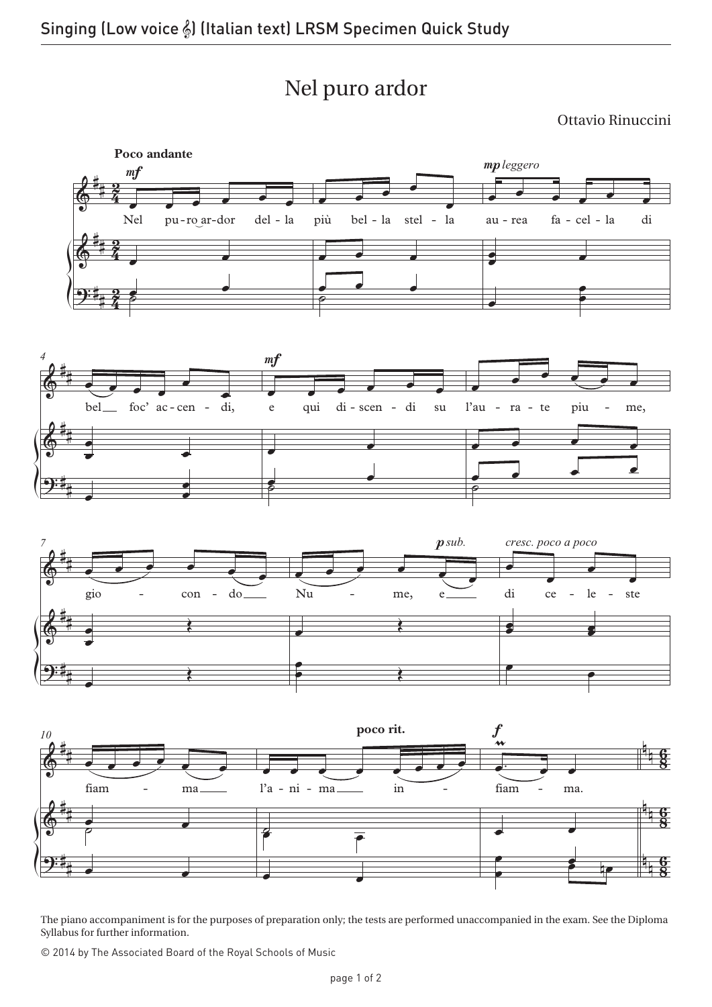Nel puro ardor

Ottavio Rinuccini



The piano accompaniment is for the purposes of preparation only; the tests are performed unaccompanied in the exam. See the Diploma Syllabus for further information.

© 2014 by The Associated Board of the Royal Schools of Music